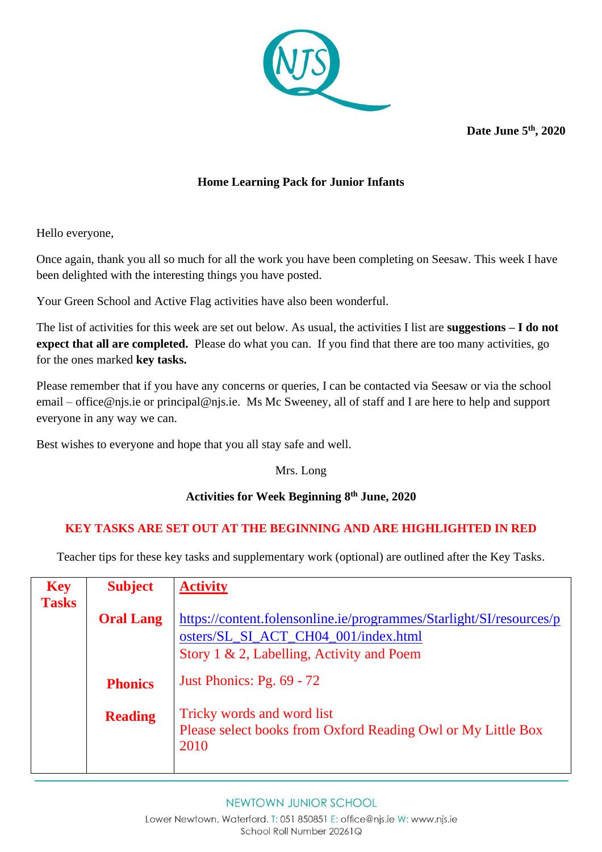

**Date June 5 th, 2020**

## **Home Learning Pack for Junior Infants**

Hello everyone,

Once again, thank you all so much for all the work you have been completing on Seesaw. This week I have been delighted with the interesting things you have posted.

Your Green School and Active Flag activities have also been wonderful.

The list of activities for this week are set out below. As usual, the activities I list are **suggestions – I do not expect that all are completed.** Please do what you can. If you find that there are too many activities, go for the ones marked **key tasks.** 

Please remember that if you have any concerns or queries, I can be contacted via Seesaw or via the school email – [office@njs.ie](mailto:office@njs.ie) or [principal@njs.ie.](mailto:principal@njs.ie) Ms Mc Sweeney, all of staff and I are here to help and support everyone in any way we can.

Best wishes to everyone and hope that you all stay safe and well.

Mrs. Long

## **Activities for Week Beginning 8 th June, 2020**

## **KEY TASKS ARE SET OUT AT THE BEGINNING AND ARE HIGHLIGHTED IN RED**

Teacher tips for these key tasks and supplementary work (optional) are outlined after the Key Tasks.

| <b>Key</b>   | <b>Subject</b>   | <b>Activity</b>                                                     |
|--------------|------------------|---------------------------------------------------------------------|
| <b>Tasks</b> |                  |                                                                     |
|              | <b>Oral Lang</b> | https://content.folensonline.ie/programmes/Starlight/SI/resources/p |
|              |                  | osters/SL SI ACT CH04 001/index.html                                |
|              |                  | Story 1 $\&$ 2, Labelling, Activity and Poem                        |
|              |                  |                                                                     |
|              | <b>Phonics</b>   | Just Phonics: Pg. $69 - 72$                                         |
|              |                  |                                                                     |
|              | <b>Reading</b>   | Tricky words and word list                                          |
|              |                  | Please select books from Oxford Reading Owl or My Little Box        |
|              |                  | 2010                                                                |
|              |                  |                                                                     |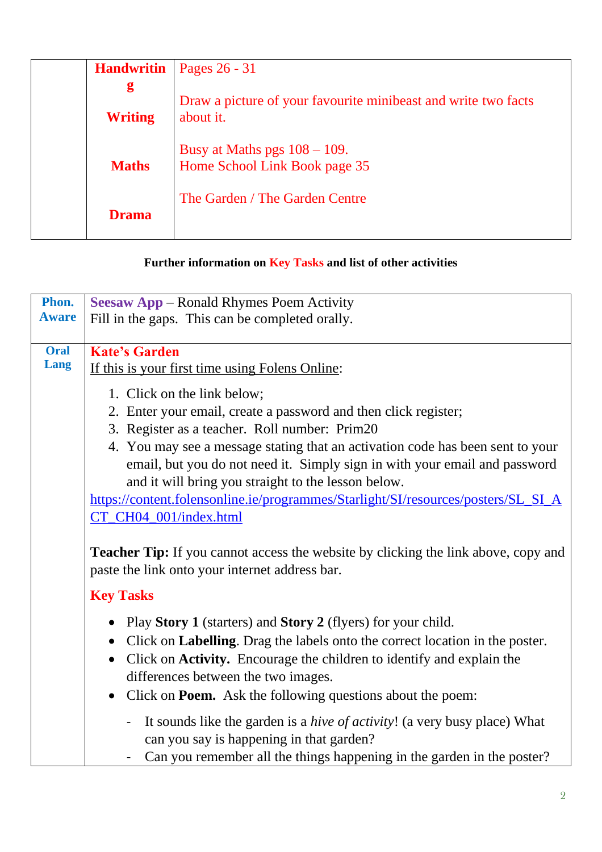| <b>Handwritin</b> | Pages 26 - 31                                                               |
|-------------------|-----------------------------------------------------------------------------|
| g                 |                                                                             |
| <b>Writing</b>    | Draw a picture of your favourite minibeast and write two facts<br>about it. |
| <b>Maths</b>      | Busy at Maths pgs $108 - 109$ .<br>Home School Link Book page 35            |
| <b>Drama</b>      | The Garden / The Garden Centre                                              |

## **Further information on Key Tasks and list of other activities**

| Phon.        | <b>Seesaw App</b> – Ronald Rhymes Poem Activity                                                                                                 |
|--------------|-------------------------------------------------------------------------------------------------------------------------------------------------|
| <b>Aware</b> | Fill in the gaps. This can be completed orally.                                                                                                 |
| <b>Oral</b>  | <b>Kate's Garden</b>                                                                                                                            |
| Lang         | If this is your first time using Folens Online:                                                                                                 |
|              | 1. Click on the link below;                                                                                                                     |
|              | 2. Enter your email, create a password and then click register;                                                                                 |
|              | 3. Register as a teacher. Roll number: Prim20                                                                                                   |
|              | 4. You may see a message stating that an activation code has been sent to your                                                                  |
|              | email, but you do not need it. Simply sign in with your email and password                                                                      |
|              | and it will bring you straight to the lesson below.                                                                                             |
|              | https://content.folensonline.ie/programmes/Starlight/SI/resources/posters/SL_SI_A<br>CT_CH04_001/index.html                                     |
|              |                                                                                                                                                 |
|              | <b>Teacher Tip:</b> If you cannot access the website by clicking the link above, copy and<br>paste the link onto your internet address bar.     |
|              | <b>Key Tasks</b>                                                                                                                                |
|              | Play Story 1 (starters) and Story 2 (flyers) for your child.<br>$\bullet$                                                                       |
|              | • Click on Labelling. Drag the labels onto the correct location in the poster.                                                                  |
|              | Click on Activity. Encourage the children to identify and explain the<br>$\bullet$                                                              |
|              | differences between the two images.                                                                                                             |
|              | • Click on <b>Poem.</b> Ask the following questions about the poem:                                                                             |
|              | It sounds like the garden is a <i>hive of activity</i> ! (a very busy place) What<br>$\blacksquare$<br>can you say is happening in that garden? |
|              | Can you remember all the things happening in the garden in the poster?                                                                          |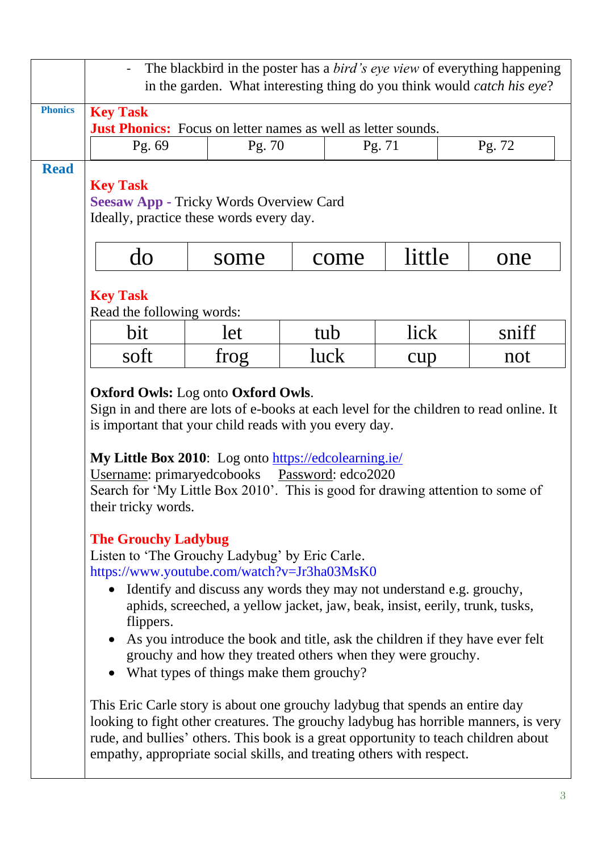|                |                                                                                                                                                                                                                                                                                                                                                                                                                                                                                                                                                                                                                                                                                                                                                                                                                                                                                                                                                                                                                                                                                                                                                                                                                                                             |        |      |        | The blackbird in the poster has a <i>bird's eye view</i> of everything happening<br>in the garden. What interesting thing do you think would <i>catch his eye?</i> |
|----------------|-------------------------------------------------------------------------------------------------------------------------------------------------------------------------------------------------------------------------------------------------------------------------------------------------------------------------------------------------------------------------------------------------------------------------------------------------------------------------------------------------------------------------------------------------------------------------------------------------------------------------------------------------------------------------------------------------------------------------------------------------------------------------------------------------------------------------------------------------------------------------------------------------------------------------------------------------------------------------------------------------------------------------------------------------------------------------------------------------------------------------------------------------------------------------------------------------------------------------------------------------------------|--------|------|--------|--------------------------------------------------------------------------------------------------------------------------------------------------------------------|
| <b>Phonics</b> | <b>Key Task</b><br><b>Just Phonics:</b> Focus on letter names as well as letter sounds.                                                                                                                                                                                                                                                                                                                                                                                                                                                                                                                                                                                                                                                                                                                                                                                                                                                                                                                                                                                                                                                                                                                                                                     |        |      |        |                                                                                                                                                                    |
|                | Pg. 69                                                                                                                                                                                                                                                                                                                                                                                                                                                                                                                                                                                                                                                                                                                                                                                                                                                                                                                                                                                                                                                                                                                                                                                                                                                      | Pg. 70 |      | Pg. 71 | Pg. 72                                                                                                                                                             |
| <b>Read</b>    | <b>Key Task</b><br><b>Seesaw App - Tricky Words Overview Card</b><br>Ideally, practice these words every day.                                                                                                                                                                                                                                                                                                                                                                                                                                                                                                                                                                                                                                                                                                                                                                                                                                                                                                                                                                                                                                                                                                                                               |        |      |        |                                                                                                                                                                    |
|                | do                                                                                                                                                                                                                                                                                                                                                                                                                                                                                                                                                                                                                                                                                                                                                                                                                                                                                                                                                                                                                                                                                                                                                                                                                                                          | some   | come | little | one                                                                                                                                                                |
|                | <b>Key Task</b><br>Read the following words:                                                                                                                                                                                                                                                                                                                                                                                                                                                                                                                                                                                                                                                                                                                                                                                                                                                                                                                                                                                                                                                                                                                                                                                                                |        |      |        |                                                                                                                                                                    |
|                | bit                                                                                                                                                                                                                                                                                                                                                                                                                                                                                                                                                                                                                                                                                                                                                                                                                                                                                                                                                                                                                                                                                                                                                                                                                                                         | let    | tub  | lick   | sniff                                                                                                                                                              |
|                | soft                                                                                                                                                                                                                                                                                                                                                                                                                                                                                                                                                                                                                                                                                                                                                                                                                                                                                                                                                                                                                                                                                                                                                                                                                                                        | frog   | luck | cup    | not                                                                                                                                                                |
|                | <b>Oxford Owls:</b> Log onto Oxford Owls.<br>Sign in and there are lots of e-books at each level for the children to read online. It<br>is important that your child reads with you every day.<br>My Little Box 2010: Log onto https://edcolearning.ie/<br>Username: primaryedcobooks<br>Password: edco2020<br>Search for 'My Little Box 2010'. This is good for drawing attention to some of<br>their tricky words.<br><b>The Grouchy Ladybug</b><br>Listen to 'The Grouchy Ladybug' by Eric Carle.<br>https://www.youtube.com/watch?v=Jr3ha03MsK0<br>Identify and discuss any words they may not understand e.g. grouchy,<br>aphids, screeched, a yellow jacket, jaw, beak, insist, eerily, trunk, tusks,<br>flippers.<br>As you introduce the book and title, ask the children if they have ever felt<br>grouchy and how they treated others when they were grouchy.<br>• What types of things make them grouchy?<br>This Eric Carle story is about one grouchy ladybug that spends an entire day<br>looking to fight other creatures. The grouchy ladybug has horrible manners, is very<br>rude, and bullies' others. This book is a great opportunity to teach children about<br>empathy, appropriate social skills, and treating others with respect. |        |      |        |                                                                                                                                                                    |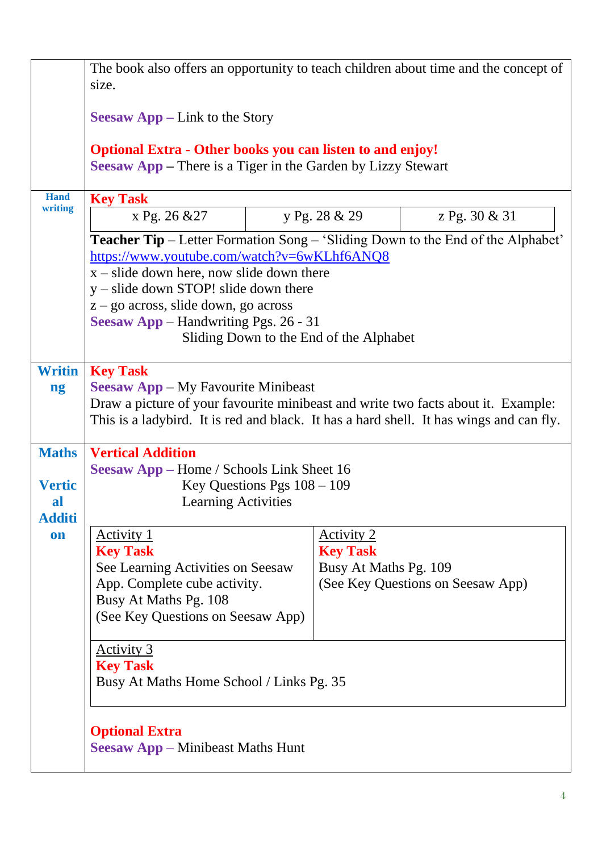|                     | The book also offers an opportunity to teach children about time and the concept of<br>size.                                                                                                                                                  |                                      |                                   |  |
|---------------------|-----------------------------------------------------------------------------------------------------------------------------------------------------------------------------------------------------------------------------------------------|--------------------------------------|-----------------------------------|--|
|                     | <b>Seesaw App</b> – Link to the Story                                                                                                                                                                                                         |                                      |                                   |  |
|                     | <b>Optional Extra - Other books you can listen to and enjoy!</b><br><b>Seesaw App</b> – There is a Tiger in the Garden by Lizzy Stewart                                                                                                       |                                      |                                   |  |
| <b>Hand</b>         | <b>Key Task</b>                                                                                                                                                                                                                               |                                      |                                   |  |
| writing             | x Pg. 26 & 27                                                                                                                                                                                                                                 | y Pg. 28 & 29                        | z Pg. 30 & 31                     |  |
|                     | <b>Teacher Tip</b> – Letter Formation Song – 'Sliding Down to the End of the Alphabet'<br>https://www.youtube.com/watch?v=6wKLhf6ANQ8<br>$x$ – slide down here, now slide down there<br>$y$ – slide down STOP! slide down there               |                                      |                                   |  |
|                     | $z - go$ across, slide down, go across                                                                                                                                                                                                        |                                      |                                   |  |
|                     | <b>Seesaw App</b> – Handwriting Pgs. 26 - 31                                                                                                                                                                                                  |                                      |                                   |  |
|                     | Sliding Down to the End of the Alphabet                                                                                                                                                                                                       |                                      |                                   |  |
| <b>Writin</b><br>ng | <b>Key Task</b><br><b>Seesaw App</b> – My Favourite Minibeast<br>Draw a picture of your favourite minibeast and write two facts about it. Example:<br>This is a ladybird. It is red and black. It has a hard shell. It has wings and can fly. |                                      |                                   |  |
| <b>Maths</b>        | <b>Vertical Addition</b>                                                                                                                                                                                                                      |                                      |                                   |  |
|                     | <b>Seesaw App</b> – Home / Schools Link Sheet 16                                                                                                                                                                                              |                                      |                                   |  |
| <b>Vertic</b>       | Key Questions Pgs $108 - 109$                                                                                                                                                                                                                 |                                      |                                   |  |
| al                  | <b>Learning Activities</b>                                                                                                                                                                                                                    |                                      |                                   |  |
| <b>Additi</b>       |                                                                                                                                                                                                                                               |                                      |                                   |  |
| on                  | <u>Activity 1</u><br><b>Key Task</b>                                                                                                                                                                                                          | <u>Activity 2</u><br><b>Key Task</b> |                                   |  |
|                     | See Learning Activities on Seesaw                                                                                                                                                                                                             | Busy At Maths Pg. 109                |                                   |  |
|                     | App. Complete cube activity.                                                                                                                                                                                                                  |                                      | (See Key Questions on Seesaw App) |  |
|                     | Busy At Maths Pg. 108                                                                                                                                                                                                                         |                                      |                                   |  |
|                     | (See Key Questions on Seesaw App)                                                                                                                                                                                                             |                                      |                                   |  |
|                     | <u>Activity 3</u>                                                                                                                                                                                                                             |                                      |                                   |  |
|                     | <b>Key Task</b><br>Busy At Maths Home School / Links Pg. 35                                                                                                                                                                                   |                                      |                                   |  |
|                     | <b>Optional Extra</b><br><b>Seesaw App – Minibeast Maths Hunt</b>                                                                                                                                                                             |                                      |                                   |  |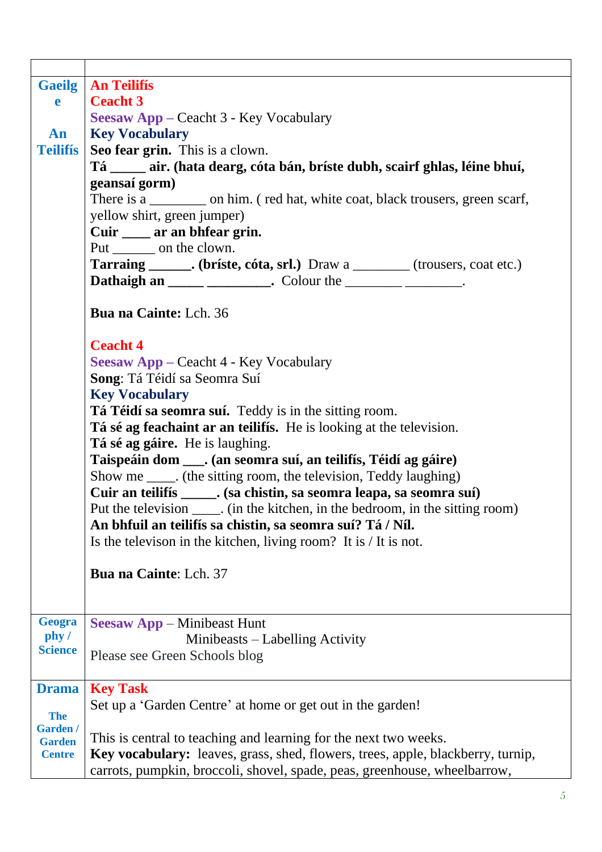| <b>Gaeilg</b>           | <b>An Teilifís</b>                                                                     |  |  |  |  |
|-------------------------|----------------------------------------------------------------------------------------|--|--|--|--|
| e                       | <b>Ceacht 3</b>                                                                        |  |  |  |  |
|                         | <b>Seesaw App</b> – Ceacht 3 - Key Vocabulary                                          |  |  |  |  |
| An                      | <b>Key Vocabulary</b>                                                                  |  |  |  |  |
| <b>Teilifís</b>         | Seo fear grin. This is a clown.                                                        |  |  |  |  |
|                         | Tá _____ air. (hata dearg, cóta bán, bríste dubh, scairf ghlas, léine bhuí,            |  |  |  |  |
|                         | geansaí gorm)                                                                          |  |  |  |  |
|                         | There is a ___________ on him. (red hat, white coat, black trousers, green scarf,      |  |  |  |  |
|                         | yellow shirt, green jumper)                                                            |  |  |  |  |
|                         | Cuir _____ ar an bhfear grin.                                                          |  |  |  |  |
|                         | Put _______ on the clown.                                                              |  |  |  |  |
|                         | <b>Tarraing _______.</b> (briste, cóta, srl.) Draw a _________ (trousers, coat etc.)   |  |  |  |  |
|                         | Dathaigh an _____ __________. Colour the _________ _______.                            |  |  |  |  |
|                         |                                                                                        |  |  |  |  |
|                         | <b>Bua na Cainte:</b> Lch. 36                                                          |  |  |  |  |
|                         | <b>Ceacht 4</b>                                                                        |  |  |  |  |
|                         |                                                                                        |  |  |  |  |
|                         | <b>Seesaw App – Ceacht 4 - Key Vocabulary</b><br>Song: Tá Téidí sa Seomra Suí          |  |  |  |  |
|                         | <b>Key Vocabulary</b>                                                                  |  |  |  |  |
|                         | Tá Téidí sa seomra suí. Teddy is in the sitting room.                                  |  |  |  |  |
|                         | Tá sé ag feachaint ar an teilifís. He is looking at the television.                    |  |  |  |  |
|                         | Tá sé ag gáire. He is laughing.                                                        |  |  |  |  |
|                         | Taispeáin dom ____. (an seomra suí, an teilifís, Téidí ag gáire)                       |  |  |  |  |
|                         | Show me _____. (the sitting room, the television, Teddy laughing)                      |  |  |  |  |
|                         | Cuir an teilifís ______. (sa chistin, sa seomra leapa, sa seomra suí)                  |  |  |  |  |
|                         | Put the television _____. (in the kitchen, in the bedroom, in the sitting room)        |  |  |  |  |
|                         | An bhfuil an teilifís sa chistin, sa seomra suí? Tá / Níl.                             |  |  |  |  |
|                         | Is the televison in the kitchen, living room? It is $/$ It is not.                     |  |  |  |  |
|                         | <b>Bua na Cainte: Lch. 37</b>                                                          |  |  |  |  |
|                         |                                                                                        |  |  |  |  |
|                         |                                                                                        |  |  |  |  |
|                         |                                                                                        |  |  |  |  |
| Geogra                  | <b>Seesaw App</b> – Minibeast Hunt                                                     |  |  |  |  |
| phy /<br><b>Science</b> | Minibeasts – Labelling Activity                                                        |  |  |  |  |
|                         | Please see Green Schools blog                                                          |  |  |  |  |
|                         |                                                                                        |  |  |  |  |
| <b>Drama</b>            | <b>Key Task</b>                                                                        |  |  |  |  |
| <b>The</b>              | Set up a 'Garden Centre' at home or get out in the garden!                             |  |  |  |  |
| Garden /                |                                                                                        |  |  |  |  |
| <b>Garden</b>           | This is central to teaching and learning for the next two weeks.                       |  |  |  |  |
| <b>Centre</b>           | <b>Key vocabulary:</b> leaves, grass, shed, flowers, trees, apple, blackberry, turnip, |  |  |  |  |
|                         | carrots, pumpkin, broccoli, shovel, spade, peas, greenhouse, wheelbarrow,              |  |  |  |  |